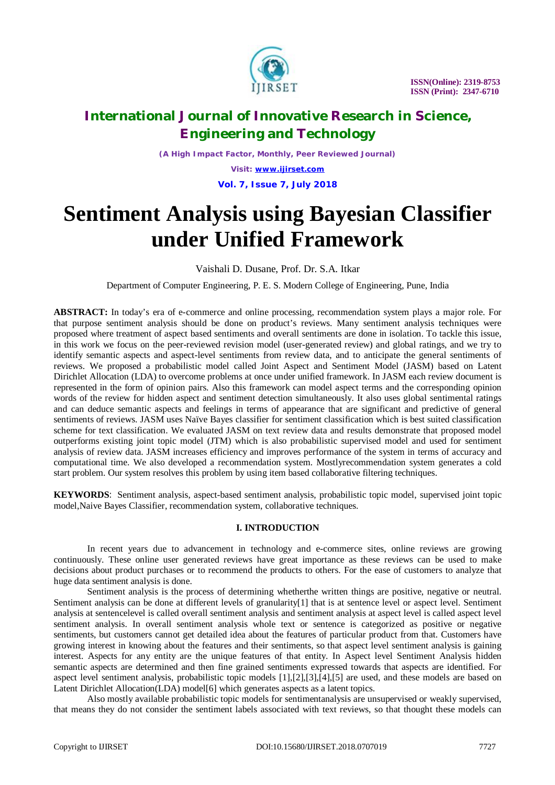

*(A High Impact Factor, Monthly, Peer Reviewed Journal)*

*Visit: [www.ijirset.com](http://www.ijirset.com)* **Vol. 7, Issue 7, July 2018**

# **Sentiment Analysis using Bayesian Classifier under Unified Framework**

Vaishali D. Dusane, Prof. Dr. S.A. Itkar

Department of Computer Engineering, P. E. S. Modern College of Engineering, Pune, India

**ABSTRACT:** In today's era of e-commerce and online processing, recommendation system plays a major role. For that purpose sentiment analysis should be done on product's reviews. Many sentiment analysis techniques were proposed where treatment of aspect based sentiments and overall sentiments are done in isolation. To tackle this issue, in this work we focus on the peer-reviewed revision model (user-generated review) and global ratings, and we try to identify semantic aspects and aspect-level sentiments from review data, and to anticipate the general sentiments of reviews. We proposed a probabilistic model called Joint Aspect and Sentiment Model (JASM) based on Latent Dirichlet Allocation (LDA) to overcome problems at once under unified framework. In JASM each review document is represented in the form of opinion pairs. Also this framework can model aspect terms and the corresponding opinion words of the review for hidden aspect and sentiment detection simultaneously. It also uses global sentimental ratings and can deduce semantic aspects and feelings in terms of appearance that are significant and predictive of general sentiments of reviews. JASM uses Naïve Bayes classifier for sentiment classification which is best suited classification scheme for text classification. We evaluated JASM on text review data and results demonstrate that proposed model outperforms existing joint topic model (JTM) which is also probabilistic supervised model and used for sentiment analysis of review data. JASM increases efficiency and improves performance of the system in terms of accuracy and computational time. We also developed a recommendation system. Mostlyrecommendation system generates a cold start problem. Our system resolves this problem by using item based collaborative filtering techniques.

**KEYWORDS***:* Sentiment analysis, aspect-based sentiment analysis, probabilistic topic model, supervised joint topic model,Naive Bayes Classifier, recommendation system, collaborative techniques.

### **I. INTRODUCTION**

In recent years due to advancement in technology and e-commerce sites, online reviews are growing continuously. These online user generated reviews have great importance as these reviews can be used to make decisions about product purchases or to recommend the products to others. For the ease of customers to analyze that huge data sentiment analysis is done.

Sentiment analysis is the process of determining whetherthe written things are positive, negative or neutral. Sentiment analysis can be done at different levels of granularity[1] that is at sentence level or aspect level. Sentiment analysis at sentencelevel is called overall sentiment analysis and sentiment analysis at aspect level is called aspect level sentiment analysis. In overall sentiment analysis whole text or sentence is categorized as positive or negative sentiments, but customers cannot get detailed idea about the features of particular product from that. Customers have growing interest in knowing about the features and their sentiments, so that aspect level sentiment analysis is gaining interest. Aspects for any entity are the unique features of that entity. In Aspect level Sentiment Analysis hidden semantic aspects are determined and then fine grained sentiments expressed towards that aspects are identified. For aspect level sentiment analysis, probabilistic topic models [1],[2],[3],[4],[5] are used, and these models are based on Latent Dirichlet Allocation(LDA) model[6] which generates aspects as a latent topics.

Also mostly available probabilistic topic models for sentimentanalysis are unsupervised or weakly supervised, that means they do not consider the sentiment labels associated with text reviews, so that thought these models can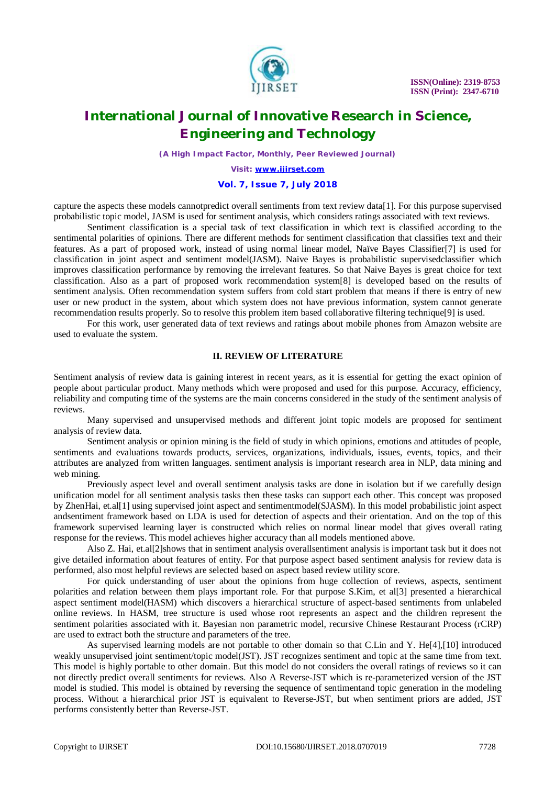

*(A High Impact Factor, Monthly, Peer Reviewed Journal)*

*Visit: [www.ijirset.com](http://www.ijirset.com)*

### **Vol. 7, Issue 7, July 2018**

capture the aspects these models cannotpredict overall sentiments from text review data[1]. For this purpose supervised probabilistic topic model, JASM is used for sentiment analysis, which considers ratings associated with text reviews.

Sentiment classification is a special task of text classification in which text is classified according to the sentimental polarities of opinions. There are different methods for sentiment classification that classifies text and their features. As a part of proposed work, instead of using normal linear model, Naïve Bayes Classifier[7] is used for classification in joint aspect and sentiment model(JASM). Naive Bayes is probabilistic supervisedclassifier which improves classification performance by removing the irrelevant features. So that Naive Bayes is great choice for text classification. Also as a part of proposed work recommendation system[8] is developed based on the results of sentiment analysis. Often recommendation system suffers from cold start problem that means if there is entry of new user or new product in the system, about which system does not have previous information, system cannot generate recommendation results properly. So to resolve this problem item based collaborative filtering technique[9] is used.

For this work, user generated data of text reviews and ratings about mobile phones from Amazon website are used to evaluate the system.

### **II. REVIEW OF LITERATURE**

Sentiment analysis of review data is gaining interest in recent years, as it is essential for getting the exact opinion of people about particular product. Many methods which were proposed and used for this purpose. Accuracy, efficiency, reliability and computing time of the systems are the main concerns considered in the study of the sentiment analysis of reviews.

Many supervised and unsupervised methods and different joint topic models are proposed for sentiment analysis of review data.

Sentiment analysis or opinion mining is the field of study in which opinions, emotions and attitudes of people, sentiments and evaluations towards products, services, organizations, individuals, issues, events, topics, and their attributes are analyzed from written languages. sentiment analysis is important research area in NLP, data mining and web mining.

Previously aspect level and overall sentiment analysis tasks are done in isolation but if we carefully design unification model for all sentiment analysis tasks then these tasks can support each other. This concept was proposed by ZhenHai, et.al[1] using supervised joint aspect and sentimentmodel(SJASM). In this model probabilistic joint aspect andsentiment framework based on LDA is used for detection of aspects and their orientation. And on the top of this framework supervised learning layer is constructed which relies on normal linear model that gives overall rating response for the reviews. This model achieves higher accuracy than all models mentioned above.

Also Z. Hai, et.al[2]shows that in sentiment analysis overallsentiment analysis is important task but it does not give detailed information about features of entity. For that purpose aspect based sentiment analysis for review data is performed, also most helpful reviews are selected based on aspect based review utility score.

For quick understanding of user about the opinions from huge collection of reviews, aspects, sentiment polarities and relation between them plays important role. For that purpose S.Kim, et al[3] presented a hierarchical aspect sentiment model(HASM) which discovers a hierarchical structure of aspect-based sentiments from unlabeled online reviews. In HASM, tree structure is used whose root represents an aspect and the children represent the sentiment polarities associated with it. Bayesian non parametric model, recursive Chinese Restaurant Process (rCRP) are used to extract both the structure and parameters of the tree.

As supervised learning models are not portable to other domain so that C.Lin and Y. He[4],[10] introduced weakly unsupervised joint sentiment/topic model(JST). JST recognizes sentiment and topic at the same time from text. This model is highly portable to other domain. But this model do not considers the overall ratings of reviews so it can not directly predict overall sentiments for reviews. Also A Reverse-JST which is re-parameterized version of the JST model is studied. This model is obtained by reversing the sequence of sentimentand topic generation in the modeling process. Without a hierarchical prior JST is equivalent to Reverse-JST, but when sentiment priors are added, JST performs consistently better than Reverse-JST.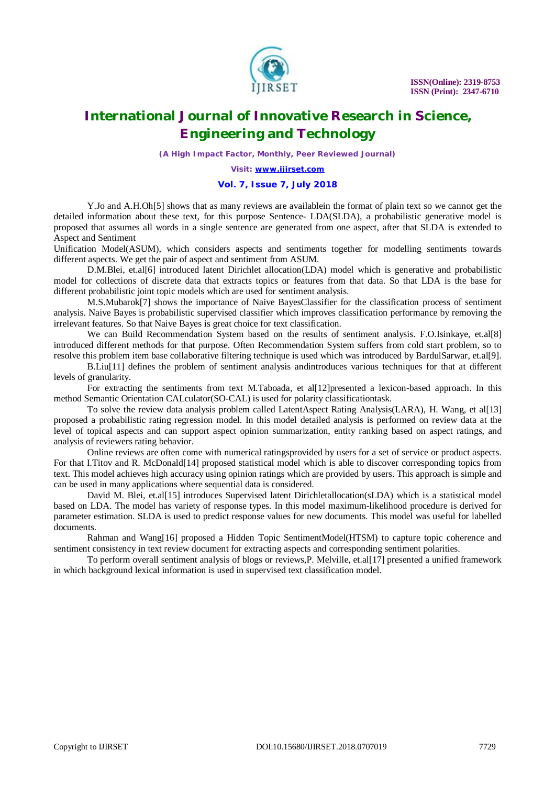

*(A High Impact Factor, Monthly, Peer Reviewed Journal)*

*Visit: [www.ijirset.com](http://www.ijirset.com)*

#### **Vol. 7, Issue 7, July 2018**

Y.Jo and A.H.Oh[5] shows that as many reviews are availablein the format of plain text so we cannot get the detailed information about these text, for this purpose Sentence- LDA(SLDA), a probabilistic generative model is proposed that assumes all words in a single sentence are generated from one aspect, after that SLDA is extended to Aspect and Sentiment

Unification Model(ASUM), which considers aspects and sentiments together for modelling sentiments towards different aspects. We get the pair of aspect and sentiment from ASUM.

D.M.Blei, et.al[6] introduced latent Dirichlet allocation(LDA) model which is generative and probabilistic model for collections of discrete data that extracts topics or features from that data. So that LDA is the base for different probabilistic joint topic models which are used for sentiment analysis.

M.S.Mubarok[7] shows the importance of Naive BayesClassifier for the classification process of sentiment analysis. Naive Bayes is probabilistic supervised classifier which improves classification performance by removing the irrelevant features. So that Naive Bayes is great choice for text classification.

We can Build Recommendation System based on the results of sentiment analysis. F.O.Isinkaye, et.al[8] introduced different methods for that purpose. Often Recommendation System suffers from cold start problem, so to resolve this problem item base collaborative filtering technique is used which was introduced by BardulSarwar, et.al[9].

B.Liu[11] defines the problem of sentiment analysis andintroduces various techniques for that at different levels of granularity.

For extracting the sentiments from text M.Taboada, et all 12 presented a lexicon-based approach. In this method Semantic Orientation CALculator(SO-CAL) is used for polarity classificationtask.

To solve the review data analysis problem called LatentAspect Rating Analysis(LARA), H. Wang, et al[13] proposed a probabilistic rating regression model. In this model detailed analysis is performed on review data at the level of topical aspects and can support aspect opinion summarization, entity ranking based on aspect ratings, and analysis of reviewers rating behavior.

Online reviews are often come with numerical ratingsprovided by users for a set of service or product aspects. For that I.Titov and R. McDonald[14] proposed statistical model which is able to discover corresponding topics from text. This model achieves high accuracy using opinion ratings which are provided by users. This approach is simple and can be used in many applications where sequential data is considered.

David M. Blei, et.al[15] introduces Supervised latent Dirichletallocation(sLDA) which is a statistical model based on LDA. The model has variety of response types. In this model maximum-likelihood procedure is derived for parameter estimation. SLDA is used to predict response values for new documents. This model was useful for labelled documents.

Rahman and Wang[16] proposed a Hidden Topic SentimentModel(HTSM) to capture topic coherence and sentiment consistency in text review document for extracting aspects and corresponding sentiment polarities.

To perform overall sentiment analysis of blogs or reviews,P. Melville, et.al[17] presented a unified framework in which background lexical information is used in supervised text classification model.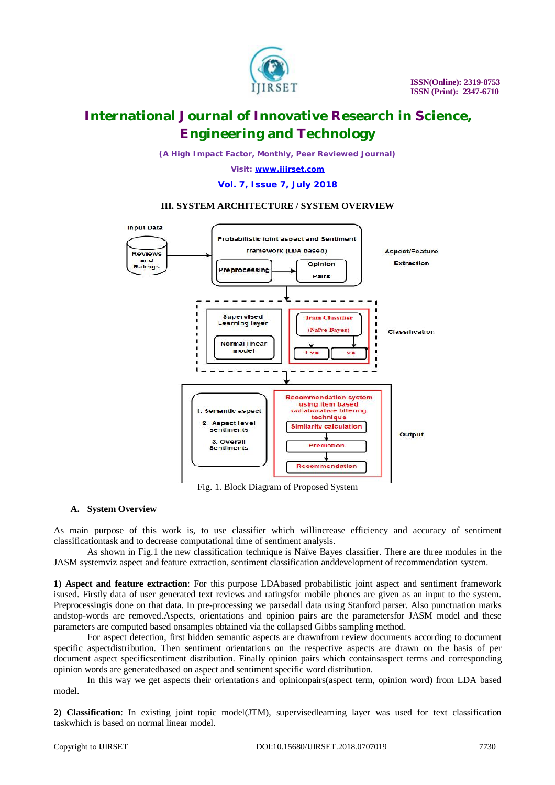

*(A High Impact Factor, Monthly, Peer Reviewed Journal)*

*Visit: [www.ijirset.com](http://www.ijirset.com)*

#### **Vol. 7, Issue 7, July 2018**

### **III. SYSTEM ARCHITECTURE / SYSTEM OVERVIEW**



Fig. 1. Block Diagram of Proposed System

### **A. System Overview**

As main purpose of this work is, to use classifier which willincrease efficiency and accuracy of sentiment classificationtask and to decrease computational time of sentiment analysis.

As shown in Fig.1 the new classification technique is Naïve Bayes classifier. There are three modules in the JASM systemviz aspect and feature extraction, sentiment classification anddevelopment of recommendation system.

**1) Aspect and feature extraction**: For this purpose LDAbased probabilistic joint aspect and sentiment framework isused. Firstly data of user generated text reviews and ratingsfor mobile phones are given as an input to the system. Preprocessingis done on that data. In pre-processing we parsedall data using Stanford parser. Also punctuation marks andstop-words are removed.Aspects, orientations and opinion pairs are the parametersfor JASM model and these parameters are computed based onsamples obtained via the collapsed Gibbs sampling method.

For aspect detection, first hidden semantic aspects are drawnfrom review documents according to document specific aspectdistribution. Then sentiment orientations on the respective aspects are drawn on the basis of per document aspect specificsentiment distribution. Finally opinion pairs which containsaspect terms and corresponding opinion words are generatedbased on aspect and sentiment specific word distribution.

In this way we get aspects their orientations and opinionpairs(aspect term, opinion word) from LDA based model.

**2) Classification**: In existing joint topic model(JTM), supervisedlearning layer was used for text classification taskwhich is based on normal linear model.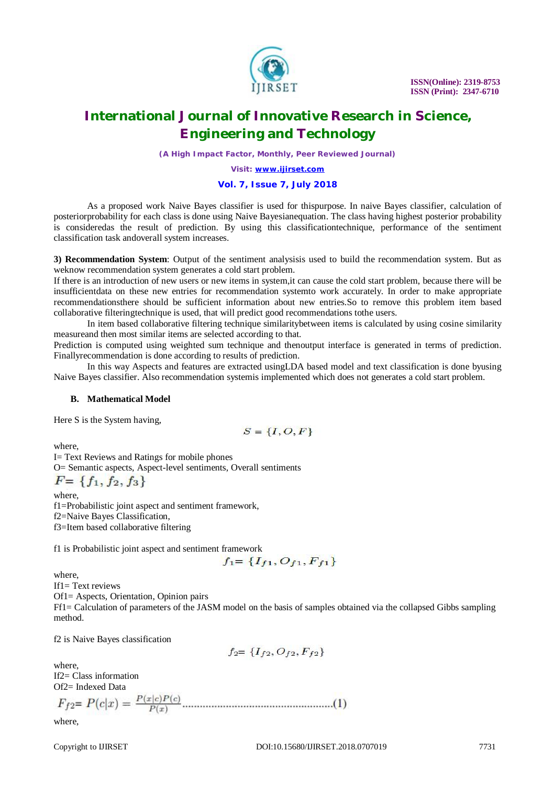

*(A High Impact Factor, Monthly, Peer Reviewed Journal)*

*Visit: [www.ijirset.com](http://www.ijirset.com)*

#### **Vol. 7, Issue 7, July 2018**

As a proposed work Naive Bayes classifier is used for thispurpose. In naive Bayes classifier, calculation of posteriorprobability for each class is done using Naive Bayesianequation. The class having highest posterior probability is consideredas the result of prediction. By using this classificationtechnique, performance of the sentiment classification task andoverall system increases.

**3) Recommendation System**: Output of the sentiment analysisis used to build the recommendation system. But as weknow recommendation system generates a cold start problem.

If there is an introduction of new users or new items in system,it can cause the cold start problem, because there will be insufficientdata on these new entries for recommendation systemto work accurately. In order to make appropriate recommendationsthere should be sufficient information about new entries.So to remove this problem item based collaborative filteringtechnique is used, that will predict good recommendations tothe users.

In item based collaborative filtering technique similaritybetween items is calculated by using cosine similarity measureand then most similar items are selected according to that.

Prediction is computed using weighted sum technique and thenoutput interface is generated in terms of prediction. Finallyrecommendation is done according to results of prediction.

In this way Aspects and features are extracted usingLDA based model and text classification is done byusing Naive Bayes classifier. Also recommendation systemis implemented which does not generates a cold start problem.

#### **B. Mathematical Model**

Here S is the System having,

$$
S = \{I, O, F\}
$$

where,

I= Text Reviews and Ratings for mobile phones O= Semantic aspects, Aspect-level sentiments, Overall sentiments  $F = \{f_1, f_2, f_3\}$ 

where, f1=Probabilistic joint aspect and sentiment framework, f2=Naive Bayes Classification, f3=Item based collaborative filtering

f1 is Probabilistic joint aspect and sentiment framework

$$
f_1 = \{I_{f1}, O_{f1}, F_{f1}\}
$$

where,

If1= Text reviews

Of1= Aspects, Orientation, Opinion pairs

Ff1= Calculation of parameters of the JASM model on the basis of samples obtained via the collapsed Gibbs sampling method.

f2 is Naive Bayes classification

$$
f_2 = \{I_{f2}, O_{f2}, F_{f2}\}
$$

where, If2= Class information Of2= Indexed Data

$$
F_{f2} = P(c|x) = \frac{P(x|c)P(c)}{P(x)}
$$
.................(1)

where,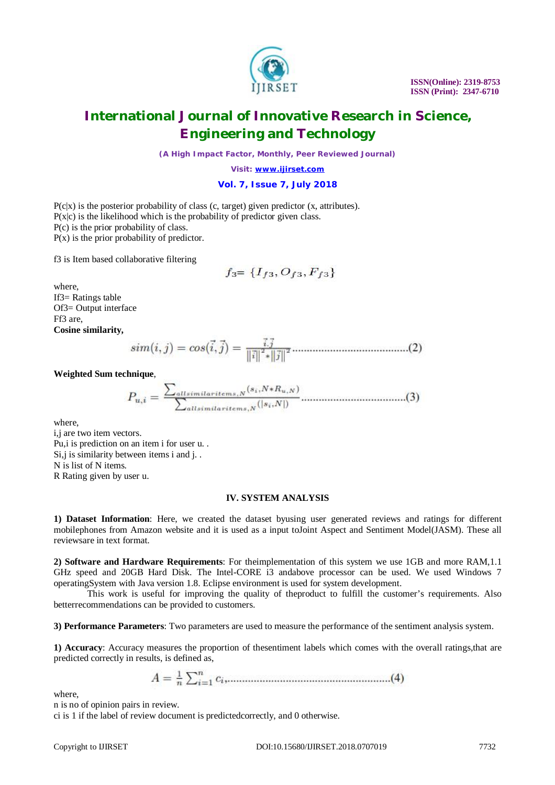

*(A High Impact Factor, Monthly, Peer Reviewed Journal)*

*Visit: [www.ijirset.com](http://www.ijirset.com)*

#### **Vol. 7, Issue 7, July 2018**

 $P(c|x)$  is the posterior probability of class (c, target) given predictor (x, attributes).  $P(x|c)$  is the likelihood which is the probability of predictor given class. P(c) is the prior probability of class.  $P(x)$  is the prior probability of predictor.

f3 is Item based collaborative filtering

$$
f_3 = \{I_{f3}, O_{f3}, F_{f3}\}
$$

where, If3= Ratings table Of3= Output interface Ff3 are, **Cosine similarity,**

**Weighted Sum technique**,

where,

i,j are two item vectors. Pu,i is prediction on an item i for user u. . Si, j is similarity between items i and j... N is list of N items. R Rating given by user u.

#### **IV. SYSTEM ANALYSIS**

**1) Dataset Information**: Here, we created the dataset byusing user generated reviews and ratings for different mobilephones from Amazon website and it is used as a input toJoint Aspect and Sentiment Model(JASM). These all reviewsare in text format.

**2) Software and Hardware Requirements**: For theimplementation of this system we use 1GB and more RAM,1.1 GHz speed and 20GB Hard Disk. The Intel-CORE i3 andabove processor can be used. We used Windows 7 operatingSystem with Java version 1.8. Eclipse environment is used for system development.

This work is useful for improving the quality of theproduct to fulfill the customer's requirements. Also betterrecommendations can be provided to customers.

**3) Performance Parameters**: Two parameters are used to measure the performance of the sentiment analysis system.

**1) Accuracy**: Accuracy measures the proportion of thesentiment labels which comes with the overall ratings,that are predicted correctly in results, is defined as,

$$
A = \frac{1}{n} \sum_{i=1}^{n} c_i
$$
 (4)

where,

n is no of opinion pairs in review.

ci is 1 if the label of review document is predictedcorrectly, and 0 otherwise.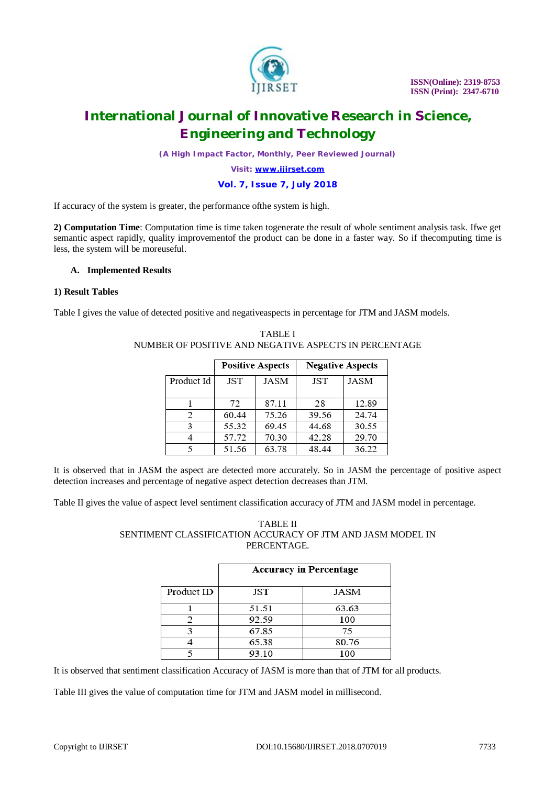

*(A High Impact Factor, Monthly, Peer Reviewed Journal)*

*Visit: [www.ijirset.com](http://www.ijirset.com)*

#### **Vol. 7, Issue 7, July 2018**

If accuracy of the system is greater, the performance ofthe system is high.

**2) Computation Time**: Computation time is time taken togenerate the result of whole sentiment analysis task. Ifwe get semantic aspect rapidly, quality improvementof the product can be done in a faster way. So if thecomputing time is less, the system will be moreuseful.

#### **A. Implemented Results**

### **1) Result Tables**

Table I gives the value of detected positive and negativeaspects in percentage for JTM and JASM models.

|            | <b>Positive Aspects</b> |       | <b>Negative Aspects</b> |             |
|------------|-------------------------|-------|-------------------------|-------------|
| Product Id | <b>JST</b>              | JASM  | JST                     | <b>JASM</b> |
|            | 72                      | 87.11 | 28                      | 12.89       |
| 2          | 60.44                   | 75.26 | 39.56                   | 24.74       |
| 3          | 55.32                   | 69.45 | 44.68                   | 30.55       |
|            | 57.72                   | 70.30 | 42.28                   | 29.70       |
|            | 51.56                   | 63.78 | 48.44                   | 36.22       |

### TABLE I NUMBER OF POSITIVE AND NEGATIVE ASPECTS IN PERCENTAGE

It is observed that in JASM the aspect are detected more accurately. So in JASM the percentage of positive aspect detection increases and percentage of negative aspect detection decreases than JTM.

Table II gives the value of aspect level sentiment classification accuracy of JTM and JASM model in percentage.

### TABLE II SENTIMENT CLASSIFICATION ACCURACY OF JTM AND JASM MODEL IN PERCENTAGE.

|            | <b>Accuracy in Percentage</b> |       |  |
|------------|-------------------------------|-------|--|
| Product ID | JST                           | JASM  |  |
|            | 51.51                         | 63.63 |  |
|            | 92.59                         | 100   |  |
|            | 67.85                         | 75    |  |
|            | 65.38                         | 80.76 |  |
|            | 93.10                         | 100   |  |

It is observed that sentiment classification Accuracy of JASM is more than that of JTM for all products.

Table III gives the value of computation time for JTM and JASM model in millisecond.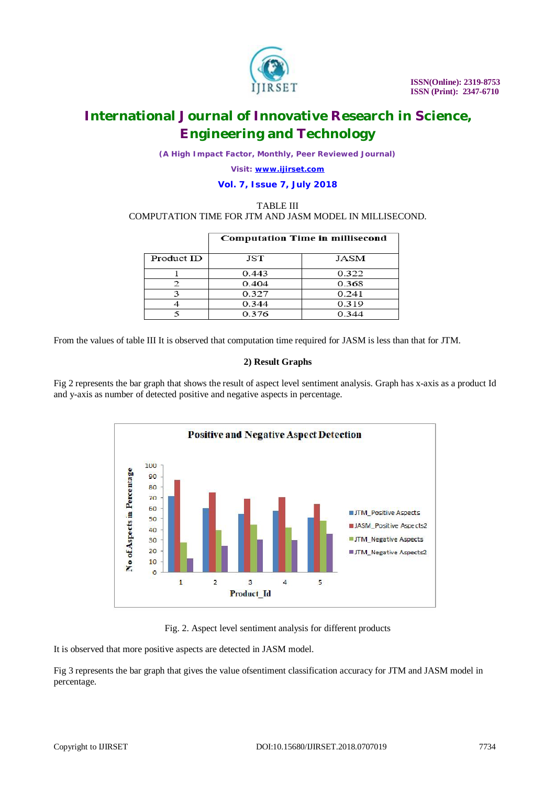

*(A High Impact Factor, Monthly, Peer Reviewed Journal)*

*Visit: [www.ijirset.com](http://www.ijirset.com)*

### **Vol. 7, Issue 7, July 2018**

#### TABLE III COMPUTATION TIME FOR JTM AND JASM MODEL IN MILLISECOND.

|            | <b>Computation Time in millisecond</b> |       |  |
|------------|----------------------------------------|-------|--|
| Product ID | JST                                    | JASM  |  |
|            | 0.443                                  | 0.322 |  |
|            | 0.404                                  | 0.368 |  |
|            | 0.327                                  | 0.241 |  |
|            | 0.344                                  | 0.319 |  |
|            | 0.376                                  | 0.344 |  |

From the values of table III It is observed that computation time required for JASM is less than that for JTM.

### **2) Result Graphs**

Fig 2 represents the bar graph that shows the result of aspect level sentiment analysis. Graph has x-axis as a product Id and y-axis as number of detected positive and negative aspects in percentage.



Fig. 2. Aspect level sentiment analysis for different products

It is observed that more positive aspects are detected in JASM model.

Fig 3 represents the bar graph that gives the value ofsentiment classification accuracy for JTM and JASM model in percentage.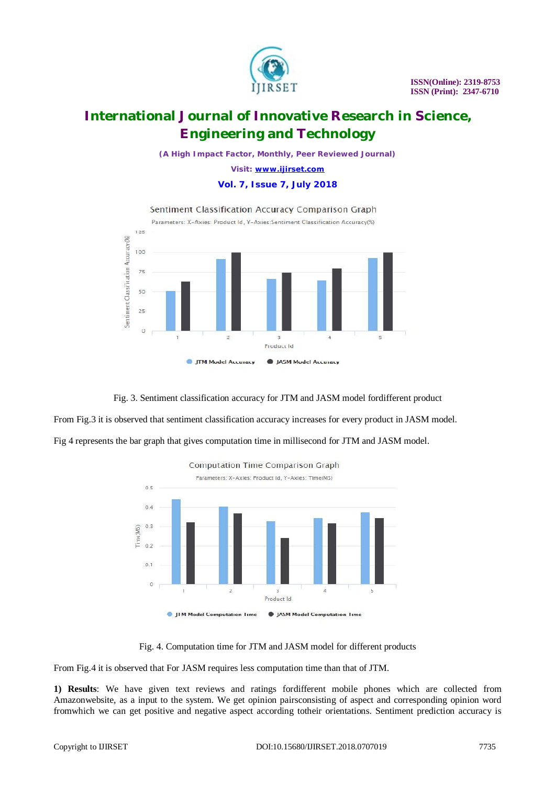

*(A High Impact Factor, Monthly, Peer Reviewed Journal)*

*Visit: [www.ijirset.com](http://www.ijirset.com)*

### **Vol. 7, Issue 7, July 2018**



Fig. 3. Sentiment classification accuracy for JTM and JASM model fordifferent product

From Fig.3 it is observed that sentiment classification accuracy increases for every product in JASM model.

Fig 4 represents the bar graph that gives computation time in millisecond for JTM and JASM model.



Fig. 4. Computation time for JTM and JASM model for different products

From Fig.4 it is observed that For JASM requires less computation time than that of JTM.

**1) Results**: We have given text reviews and ratings fordifferent mobile phones which are collected from Amazonwebsite, as a input to the system. We get opinion pairsconsisting of aspect and corresponding opinion word fromwhich we can get positive and negative aspect according totheir orientations. Sentiment prediction accuracy is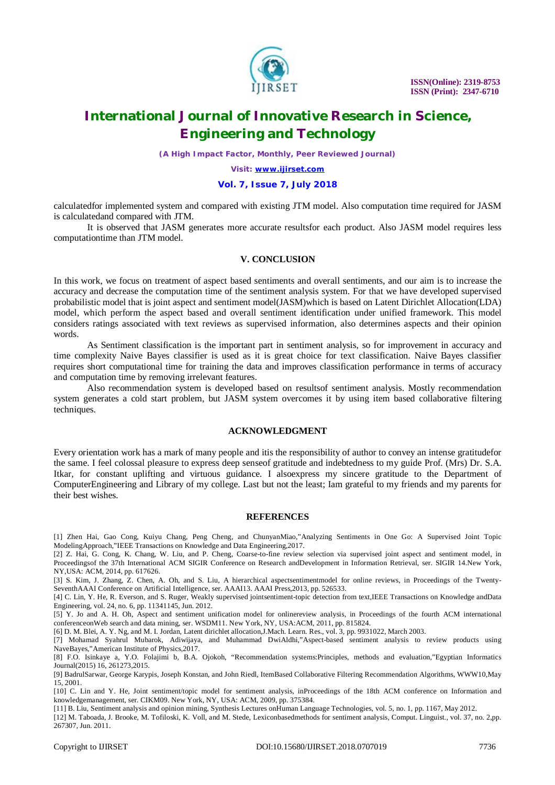

*(A High Impact Factor, Monthly, Peer Reviewed Journal)*

*Visit: [www.ijirset.com](http://www.ijirset.com)*

#### **Vol. 7, Issue 7, July 2018**

calculatedfor implemented system and compared with existing JTM model. Also computation time required for JASM is calculatedand compared with JTM.

It is observed that JASM generates more accurate resultsfor each product. Also JASM model requires less computationtime than JTM model.

### **V. CONCLUSION**

In this work, we focus on treatment of aspect based sentiments and overall sentiments, and our aim is to increase the accuracy and decrease the computation time of the sentiment analysis system. For that we have developed supervised probabilistic model that is joint aspect and sentiment model(JASM)which is based on Latent Dirichlet Allocation(LDA) model, which perform the aspect based and overall sentiment identification under unified framework. This model considers ratings associated with text reviews as supervised information, also determines aspects and their opinion words.

As Sentiment classification is the important part in sentiment analysis, so for improvement in accuracy and time complexity Naive Bayes classifier is used as it is great choice for text classification. Naive Bayes classifier requires short computational time for training the data and improves classification performance in terms of accuracy and computation time by removing irrelevant features.

Also recommendation system is developed based on resultsof sentiment analysis. Mostly recommendation system generates a cold start problem, but JASM system overcomes it by using item based collaborative filtering techniques.

#### **ACKNOWLEDGMENT**

Every orientation work has a mark of many people and itis the responsibility of author to convey an intense gratitudefor the same. I feel colossal pleasure to express deep senseof gratitude and indebtedness to my guide Prof. (Mrs) Dr. S.A. Itkar, for constant uplifting and virtuous guidance. I alsoexpress my sincere gratitude to the Department of ComputerEngineering and Library of my college. Last but not the least; Iam grateful to my friends and my parents for their best wishes.

#### **REFERENCES**

[1] Zhen Hai, Gao Cong, Kuiyu Chang, Peng Cheng, and ChunyanMiao,"Analyzing Sentiments in One Go: A Supervised Joint Topic ModelingApproach,"IEEE Transactions on Knowledge and Data Engineering,2017.

[2] Z. Hai, G. Cong, K. Chang, W. Liu, and P. Cheng, Coarse-to-fine review selection via supervised joint aspect and sentiment model, in Proceedingsof the 37th International ACM SIGIR Conference on Research andDevelopment in Information Retrieval, ser. SIGIR 14.New York, NY,USA: ACM, 2014, pp. 617626.

[3] S. Kim, J. Zhang, Z. Chen, A. Oh, and S. Liu, A hierarchical aspectsentimentmodel for online reviews, in Proceedings of the Twenty-SeventhAAAI Conference on Artificial Intelligence, ser. AAAI13. AAAI Press,2013, pp. 526533.

[4] C. Lin, Y. He, R. Everson, and S. Ruger, Weakly supervised jointsentiment-topic detection from text,IEEE Transactions on Knowledge andData Engineering, vol. 24, no. 6, pp. 11341145, Jun. 2012.

[5] Y. Jo and A. H. Oh, Aspect and sentiment unification model for onlinereview analysis, in Proceedings of the fourth ACM international conferenceonWeb search and data mining, ser. WSDM11. New York, NY, USA:ACM, 2011, pp. 815824.

[6] D. M. Blei, A. Y. Ng, and M. I. Jordan, Latent dirichlet allocation,J.Mach. Learn. Res., vol. 3, pp. 9931022, March 2003.

[7] Mohamad Syahrul Mubarok, Adiwijaya, and Muhammad DwiAldhi,"Aspect-based sentiment analysis to review products using NaveBayes,"American Institute of Physics,2017.

[8] F.O. Isinkaye a, Y.O. Folajimi b, B.A. Ojokoh, "Recommendation systems:Principles, methods and evaluation,"Egyptian Informatics Journal(2015) 16, 261273,2015.

[9] BadrulSarwar, George Karypis, Joseph Konstan, and John Riedl, ItemBased Collaborative Filtering Recommendation Algorithms, WWW10,May 15, 2001.

[10] C. Lin and Y. He, Joint sentiment/topic model for sentiment analysis, inProceedings of the 18th ACM conference on Information and knowledgemanagement, ser. CIKM09. New York, NY, USA: ACM, 2009, pp. 375384.

[11] B. Liu, Sentiment analysis and opinion mining, Synthesis Lectures onHuman Language Technologies, vol. 5, no. 1, pp. 1167, May 2012.

[12] M. Taboada, J. Brooke, M. Tofiloski, K. Voll, and M. Stede, Lexiconbasedmethods for sentiment analysis, Comput. Linguist., vol. 37, no. 2,pp. 267307, Jun. 2011.